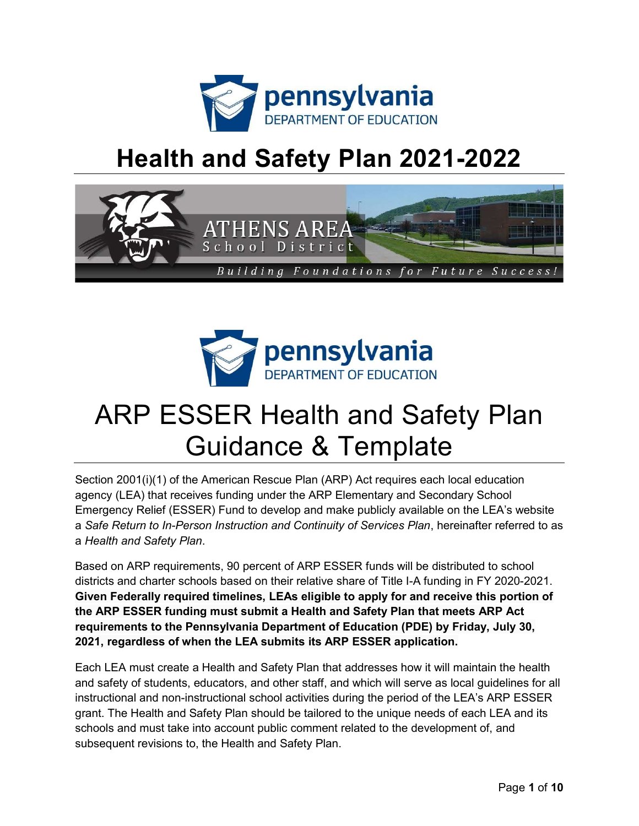

## Health and Safety Plan 2021-2022





# ARP ESSER Health and Safety Plan Guidance & Template

Section 2001(i)(1) of the American Rescue Plan (ARP) Act requires each local education agency (LEA) that receives funding under the ARP Elementary and Secondary School Emergency Relief (ESSER) Fund to develop and make publicly available on the LEA's website a Safe Return to In-Person Instruction and Continuity of Services Plan, hereinafter referred to as a Health and Safety Plan.

Based on ARP requirements, 90 percent of ARP ESSER funds will be distributed to school districts and charter schools based on their relative share of Title I-A funding in FY 2020-2021. Given Federally required timelines, LEAs eligible to apply for and receive this portion of the ARP ESSER funding must submit a Health and Safety Plan that meets ARP Act requirements to the Pennsylvania Department of Education (PDE) by Friday, July 30, 2021, regardless of when the LEA submits its ARP ESSER application.

Each LEA must create a Health and Safety Plan that addresses how it will maintain the health and safety of students, educators, and other staff, and which will serve as local guidelines for all instructional and non-instructional school activities during the period of the LEA's ARP ESSER grant. The Health and Safety Plan should be tailored to the unique needs of each LEA and its schools and must take into account public comment related to the development of, and subsequent revisions to, the Health and Safety Plan.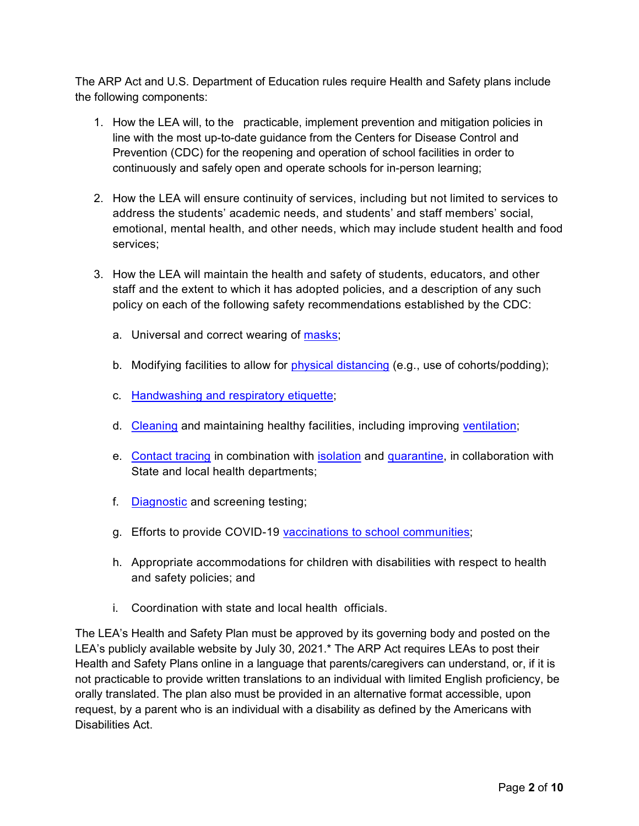The ARP Act and U.S. Department of Education rules require Health and Safety plans include the following components:

- 1. How the LEA will, to the practicable, implement prevention and mitigation policies in line with the most up-to-date guidance from the Centers for Disease Control and Prevention (CDC) for the reopening and operation of school facilities in order to continuously and safely open and operate schools for in-person learning;
- 2. How the LEA will ensure continuity of services, including but not limited to services to address the students' academic needs, and students' and staff members' social, emotional, mental health, and other needs, which may include student health and food services;
- 3. How the LEA will maintain the health and safety of students, educators, and other staff and the extent to which it has adopted policies, and a description of any such policy on each of the following safety recommendations established by the CDC:
	- a. Universal and correct wearing of masks;
	- b. Modifying facilities to allow for physical distancing (e.g., use of cohorts/podding);
	- c. Handwashing and respiratory etiquette;
	- d. Cleaning and maintaining healthy facilities, including improving ventilation;
	- e. Contact tracing in combination with isolation and quarantine, in collaboration with State and local health departments;
	- f. Diagnostic and screening testing;
	- g. Efforts to provide COVID-19 vaccinations to school communities;
	- h. Appropriate accommodations for children with disabilities with respect to health and safety policies; and
	- i. Coordination with state and local health officials.

The LEA's Health and Safety Plan must be approved by its governing body and posted on the LEA's publicly available website by July 30, 2021.\* The ARP Act requires LEAs to post their Health and Safety Plans online in a language that parents/caregivers can understand, or, if it is not practicable to provide written translations to an individual with limited English proficiency, be orally translated. The plan also must be provided in an alternative format accessible, upon request, by a parent who is an individual with a disability as defined by the Americans with Disabilities Act.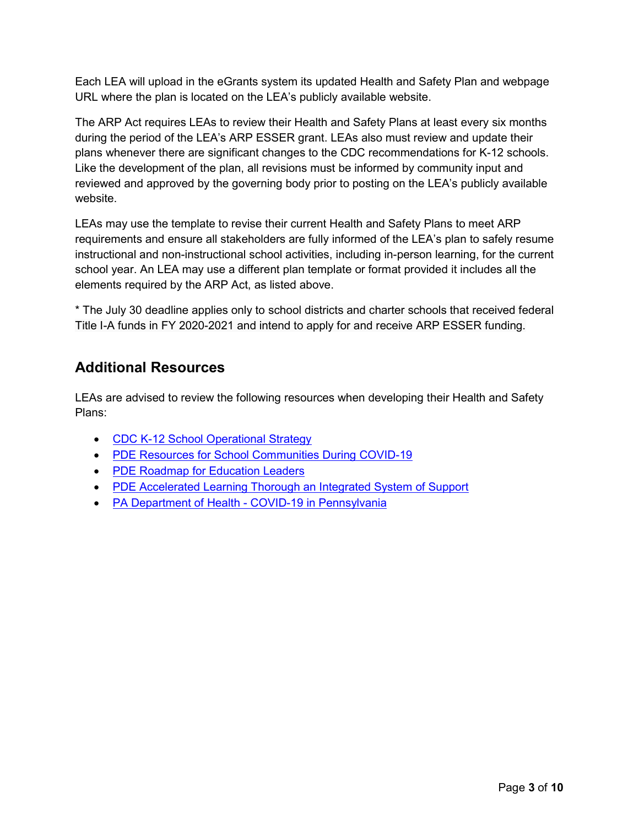Each LEA will upload in the eGrants system its updated Health and Safety Plan and webpage URL where the plan is located on the LEA's publicly available website.

The ARP Act requires LEAs to review their Health and Safety Plans at least every six months during the period of the LEA's ARP ESSER grant. LEAs also must review and update their plans whenever there are significant changes to the CDC recommendations for K-12 schools. Like the development of the plan, all revisions must be informed by community input and reviewed and approved by the governing body prior to posting on the LEA's publicly available website.

LEAs may use the template to revise their current Health and Safety Plans to meet ARP requirements and ensure all stakeholders are fully informed of the LEA's plan to safely resume instructional and non-instructional school activities, including in-person learning, for the current school year. An LEA may use a different plan template or format provided it includes all the elements required by the ARP Act, as listed above.

\* The July 30 deadline applies only to school districts and charter schools that received federal Title I-A funds in FY 2020-2021 and intend to apply for and receive ARP ESSER funding.

#### Additional Resources

LEAs are advised to review the following resources when developing their Health and Safety Plans:

- CDC K-12 School Operational Strategy
- PDE Resources for School Communities During COVID-19
- PDE Roadmap for Education Leaders
- PDE Accelerated Learning Thorough an Integrated System of Support
- PA Department of Health COVID-19 in Pennsylvania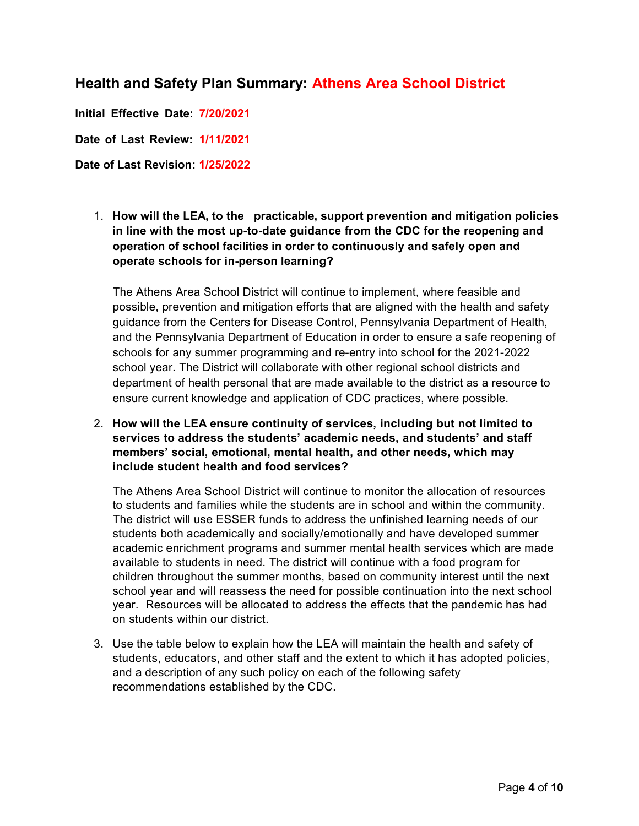#### Health and Safety Plan Summary: Athens Area School District

Initial Effective Date: 7/20/2021

Date of Last Review: 1/11/2021

Date of Last Revision: **1**/**25**/202**2**

1. How will the LEA, to the practicable, support prevention and mitigation policies in line with the most up-to-date guidance from the CDC for the reopening and operation of school facilities in order to continuously and safely open and operate schools for in-person learning?

The Athens Area School District will continue to implement, where feasible and possible, prevention and mitigation efforts that are aligned with the health and safety guidance from the Centers for Disease Control, Pennsylvania Department of Health, and the Pennsylvania Department of Education in order to ensure a safe reopening of schools for any summer programming and re-entry into school for the 2021-2022 school year. The District will collaborate with other regional school districts and department of health personal that are made available to the district as a resource to ensure current knowledge and application of CDC practices, where possible.

2. How will the LEA ensure continuity of services, including but not limited to services to address the students' academic needs, and students' and staff members' social, emotional, mental health, and other needs, which may include student health and food services?

The Athens Area School District will continue to monitor the allocation of resources to students and families while the students are in school and within the community. The district will use ESSER funds to address the unfinished learning needs of our students both academically and socially/emotionally and have developed summer academic enrichment programs and summer mental health services which are made available to students in need. The district will continue with a food program for children throughout the summer months, based on community interest until the next school year and will reassess the need for possible continuation into the next school year. Resources will be allocated to address the effects that the pandemic has had on students within our district.

3. Use the table below to explain how the LEA will maintain the health and safety of students, educators, and other staff and the extent to which it has adopted policies, and a description of any such policy on each of the following safety recommendations established by the CDC.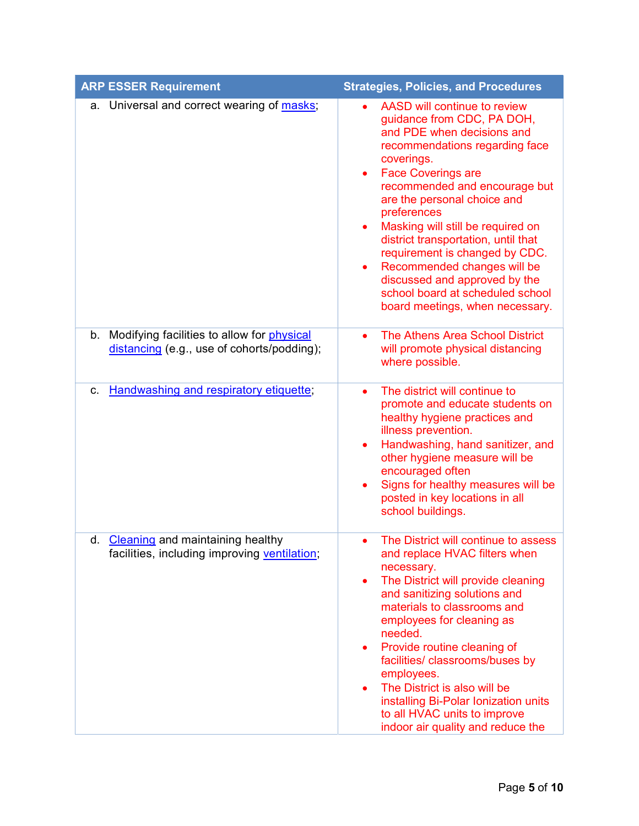| <b>ARP ESSER Requirement</b>                                                                | <b>Strategies, Policies, and Procedures</b>                                                                                                                                                                                                                                                                                                                                                                                                                                                                                                      |
|---------------------------------------------------------------------------------------------|--------------------------------------------------------------------------------------------------------------------------------------------------------------------------------------------------------------------------------------------------------------------------------------------------------------------------------------------------------------------------------------------------------------------------------------------------------------------------------------------------------------------------------------------------|
| a. Universal and correct wearing of masks;                                                  | AASD will continue to review<br>guidance from CDC, PA DOH,<br>and PDE when decisions and<br>recommendations regarding face<br>coverings.<br><b>Face Coverings are</b><br>$\bullet$<br>recommended and encourage but<br>are the personal choice and<br>preferences<br>Masking will still be required on<br>$\bullet$<br>district transportation, until that<br>requirement is changed by CDC.<br>Recommended changes will be<br>$\bullet$<br>discussed and approved by the<br>school board at scheduled school<br>board meetings, when necessary. |
| b. Modifying facilities to allow for physical<br>distancing (e.g., use of cohorts/podding); | The Athens Area School District<br>$\bullet$<br>will promote physical distancing<br>where possible.                                                                                                                                                                                                                                                                                                                                                                                                                                              |
| Handwashing and respiratory etiquette;<br>$C_{1}$                                           | The district will continue to<br>$\bullet$<br>promote and educate students on<br>healthy hygiene practices and<br>illness prevention.<br>Handwashing, hand sanitizer, and<br>other hygiene measure will be<br>encouraged often<br>Signs for healthy measures will be<br>$\bullet$<br>posted in key locations in all<br>school buildings.                                                                                                                                                                                                         |
| Cleaning and maintaining healthy<br>d.<br>facilities, including improving ventilation;      | The District will continue to assess<br>and replace HVAC filters when<br>necessary.<br>The District will provide cleaning<br>$\bullet$<br>and sanitizing solutions and<br>materials to classrooms and<br>employees for cleaning as<br>needed.<br>Provide routine cleaning of<br>$\bullet$<br>facilities/ classrooms/buses by<br>employees.<br>The District is also will be<br>$\bullet$<br>installing Bi-Polar Ionization units<br>to all HVAC units to improve<br>indoor air quality and reduce the                                             |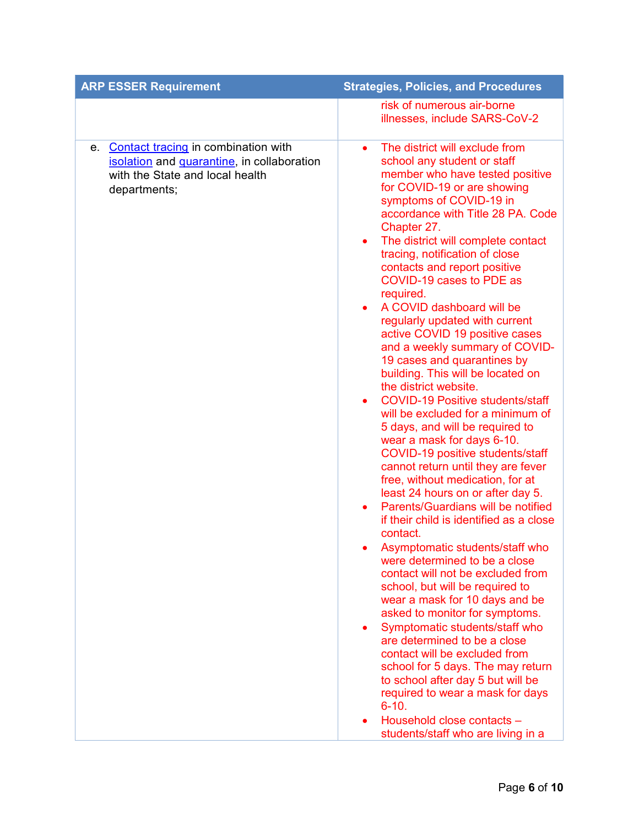| <b>ARP ESSER Requirement</b>                                                                                                                      | <b>Strategies, Policies, and Procedures</b>                                                                                                                                                                                                                                                                                                                                                                                                                                                                                                                                                                                                                                                                                                                                                                                                                                                                                                                                                                                                                                                                                                                                                                                                                                                                                                                                                                                                                                                                                                                    |
|---------------------------------------------------------------------------------------------------------------------------------------------------|----------------------------------------------------------------------------------------------------------------------------------------------------------------------------------------------------------------------------------------------------------------------------------------------------------------------------------------------------------------------------------------------------------------------------------------------------------------------------------------------------------------------------------------------------------------------------------------------------------------------------------------------------------------------------------------------------------------------------------------------------------------------------------------------------------------------------------------------------------------------------------------------------------------------------------------------------------------------------------------------------------------------------------------------------------------------------------------------------------------------------------------------------------------------------------------------------------------------------------------------------------------------------------------------------------------------------------------------------------------------------------------------------------------------------------------------------------------------------------------------------------------------------------------------------------------|
|                                                                                                                                                   | risk of numerous air-borne<br>illnesses, include SARS-CoV-2                                                                                                                                                                                                                                                                                                                                                                                                                                                                                                                                                                                                                                                                                                                                                                                                                                                                                                                                                                                                                                                                                                                                                                                                                                                                                                                                                                                                                                                                                                    |
| <b>Contact tracing in combination with</b><br>е.<br>isolation and quarantine, in collaboration<br>with the State and local health<br>departments; | The district will exclude from<br>$\bullet$<br>school any student or staff<br>member who have tested positive<br>for COVID-19 or are showing<br>symptoms of COVID-19 in<br>accordance with Title 28 PA. Code<br>Chapter 27.<br>The district will complete contact<br>٠<br>tracing, notification of close<br>contacts and report positive<br>COVID-19 cases to PDE as<br>required.<br>A COVID dashboard will be<br>$\bullet$<br>regularly updated with current<br>active COVID 19 positive cases<br>and a weekly summary of COVID-<br>19 cases and quarantines by<br>building. This will be located on<br>the district website.<br><b>COVID-19 Positive students/staff</b><br>$\bullet$<br>will be excluded for a minimum of<br>5 days, and will be required to<br>wear a mask for days 6-10.<br>COVID-19 positive students/staff<br>cannot return until they are fever<br>free, without medication, for at<br>least 24 hours on or after day 5.<br>Parents/Guardians will be notified<br>if their child is identified as a close<br>contact.<br>Asymptomatic students/staff who<br>were determined to be a close<br>contact will not be excluded from<br>school, but will be required to<br>wear a mask for 10 days and be<br>asked to monitor for symptoms.<br>Symptomatic students/staff who<br>are determined to be a close<br>contact will be excluded from<br>school for 5 days. The may return<br>to school after day 5 but will be<br>required to wear a mask for days<br>$6 - 10.$<br>Household close contacts -<br>students/staff who are living in a |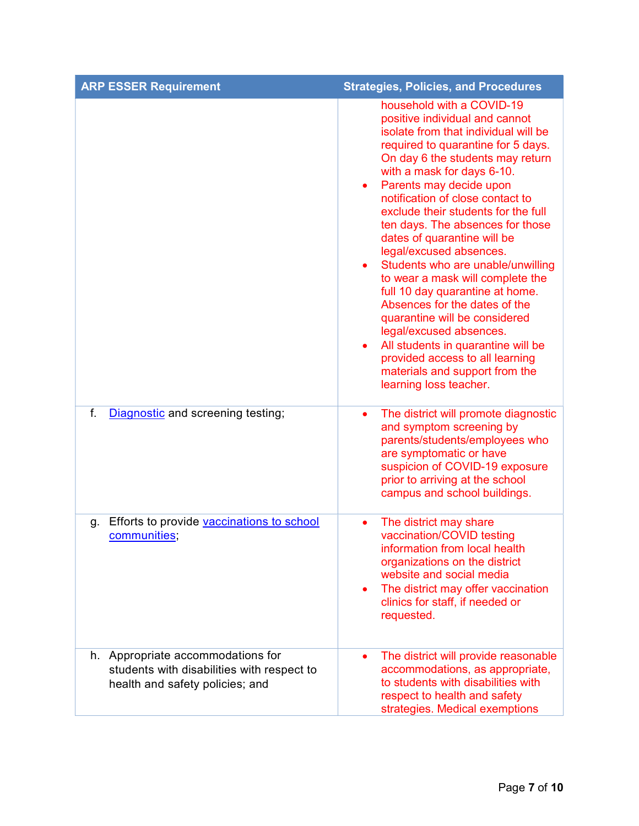| <b>ARP ESSER Requirement</b>                                                                                       | <b>Strategies, Policies, and Procedures</b>                                                                                                                                                                                                                                                                                                                                                                                                                                                                                                                                                                                                                                                                                                                        |
|--------------------------------------------------------------------------------------------------------------------|--------------------------------------------------------------------------------------------------------------------------------------------------------------------------------------------------------------------------------------------------------------------------------------------------------------------------------------------------------------------------------------------------------------------------------------------------------------------------------------------------------------------------------------------------------------------------------------------------------------------------------------------------------------------------------------------------------------------------------------------------------------------|
|                                                                                                                    | household with a COVID-19<br>positive individual and cannot<br>isolate from that individual will be<br>required to quarantine for 5 days.<br>On day 6 the students may return<br>with a mask for days 6-10.<br>Parents may decide upon<br>٠<br>notification of close contact to<br>exclude their students for the full<br>ten days. The absences for those<br>dates of quarantine will be<br>legal/excused absences.<br>Students who are unable/unwilling<br>to wear a mask will complete the<br>full 10 day quarantine at home.<br>Absences for the dates of the<br>quarantine will be considered<br>legal/excused absences.<br>All students in quarantine will be<br>provided access to all learning<br>materials and support from the<br>learning loss teacher. |
| f.<br>Diagnostic and screening testing;                                                                            | The district will promote diagnostic<br>$\bullet$<br>and symptom screening by<br>parents/students/employees who<br>are symptomatic or have<br>suspicion of COVID-19 exposure<br>prior to arriving at the school<br>campus and school buildings.                                                                                                                                                                                                                                                                                                                                                                                                                                                                                                                    |
| Efforts to provide vaccinations to school<br>g.<br>communities,                                                    | The district may share<br>$\bullet$<br>vaccination/COVID testing<br>information from local health<br>organizations on the district<br>website and social media<br>The district may offer vaccination<br>٠<br>clinics for staff, if needed or<br>requested.                                                                                                                                                                                                                                                                                                                                                                                                                                                                                                         |
| h. Appropriate accommodations for<br>students with disabilities with respect to<br>health and safety policies; and | The district will provide reasonable<br>accommodations, as appropriate,<br>to students with disabilities with<br>respect to health and safety<br>strategies. Medical exemptions                                                                                                                                                                                                                                                                                                                                                                                                                                                                                                                                                                                    |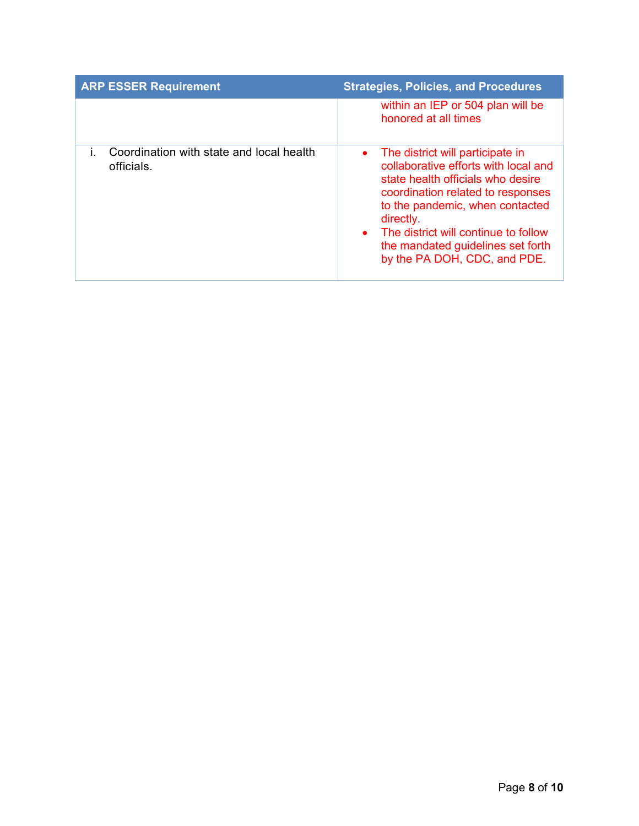| <b>ARP ESSER Requirement</b>                           | <b>Strategies, Policies, and Procedures</b>                                                                                                                                                                                                                                                                                    |
|--------------------------------------------------------|--------------------------------------------------------------------------------------------------------------------------------------------------------------------------------------------------------------------------------------------------------------------------------------------------------------------------------|
|                                                        | within an IEP or 504 plan will be<br>honored at all times                                                                                                                                                                                                                                                                      |
| Coordination with state and local health<br>officials. | The district will participate in<br>$\bullet$<br>collaborative efforts with local and<br>state health officials who desire<br>coordination related to responses<br>to the pandemic, when contacted<br>directly.<br>• The district will continue to follow<br>the mandated guidelines set forth<br>by the PA DOH, CDC, and PDE. |